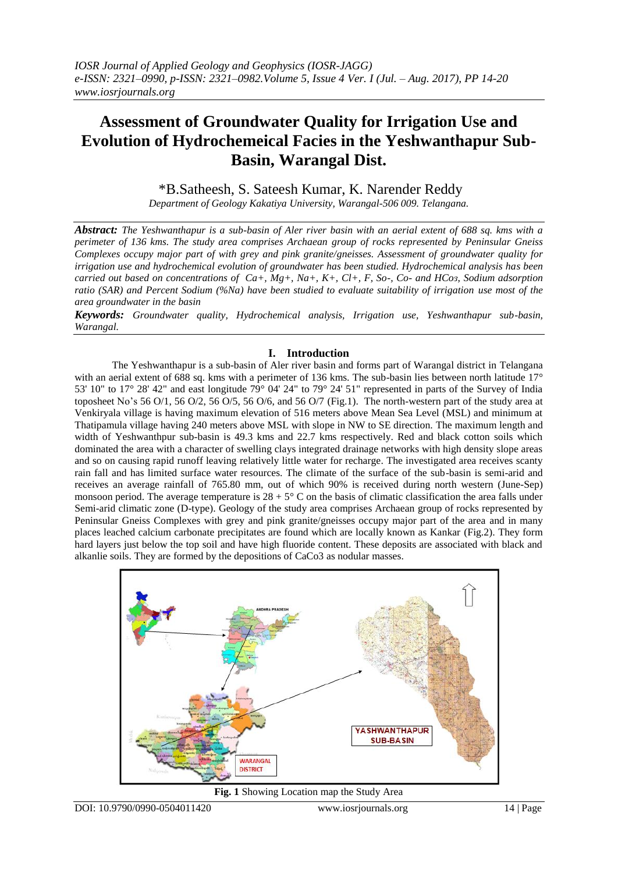# **Assessment of Groundwater Quality for Irrigation Use and Evolution of Hydrochemeical Facies in the Yeshwanthapur Sub-Basin, Warangal Dist.**

\*B.Satheesh, S. Sateesh Kumar, K. Narender Reddy

*Department of Geology Kakatiya University, Warangal-506 009. Telangana.*

*Abstract: The Yeshwanthapur is a sub-basin of Aler river basin with an aerial extent of 688 sq. kms with a perimeter of 136 kms. The study area comprises Archaean group of rocks represented by Peninsular Gneiss Complexes occupy major part of with grey and pink granite/gneisses. Assessment of groundwater quality for irrigation use and hydrochemical evolution of groundwater has been studied. Hydrochemical analysis has been carried out based on concentrations of Ca+, Mg+, Na+, K+, Cl+, F, So-, Co- and HCoɜ, Sodium adsorption ratio (SAR) and Percent Sodium (%Na) have been studied to evaluate suitability of irrigation use most of the area groundwater in the basin*

*Keywords: Groundwater quality, Hydrochemical analysis, Irrigation use, Yeshwanthapur sub-basin, Warangal.*

## **I. Introduction**

The Yeshwanthapur is a sub-basin of Aler river basin and forms part of Warangal district in Telangana with an aerial extent of 688 sq. kms with a perimeter of 136 kms. The sub-basin lies between north latitude 17° 53' 10" to 17° 28' 42" and east longitude 79° 04' 24" to 79° 24' 51" represented in parts of the Survey of India toposheet No's 56 O/1, 56 O/2, 56 O/5, 56 O/6, and 56 O/7 (Fig.1). The north-western part of the study area at Venkiryala village is having maximum elevation of 516 meters above Mean Sea Level (MSL) and minimum at Thatipamula village having 240 meters above MSL with slope in NW to SE direction. The maximum length and width of Yeshwanthpur sub-basin is 49.3 kms and 22.7 kms respectively. Red and black cotton soils which dominated the area with a character of swelling clays integrated drainage networks with high density slope areas and so on causing rapid runoff leaving relatively little water for recharge. The investigated area receives scanty rain fall and has limited surface water resources. The climate of the surface of the sub-basin is semi-arid and receives an average rainfall of 765.80 mm, out of which 90% is received during north western (June-Sep) monsoon period. The average temperature is  $28 + 5^{\circ}$  C on the basis of climatic classification the area falls under Semi-arid climatic zone (D-type). Geology of the study area comprises Archaean group of rocks represented by Peninsular Gneiss Complexes with grey and pink granite/gneisses occupy major part of the area and in many places leached calcium carbonate precipitates are found which are locally known as Kankar (Fig.2). They form hard layers just below the top soil and have high fluoride content. These deposits are associated with black and alkanlie soils. They are formed by the depositions of CaCo3 as nodular masses.



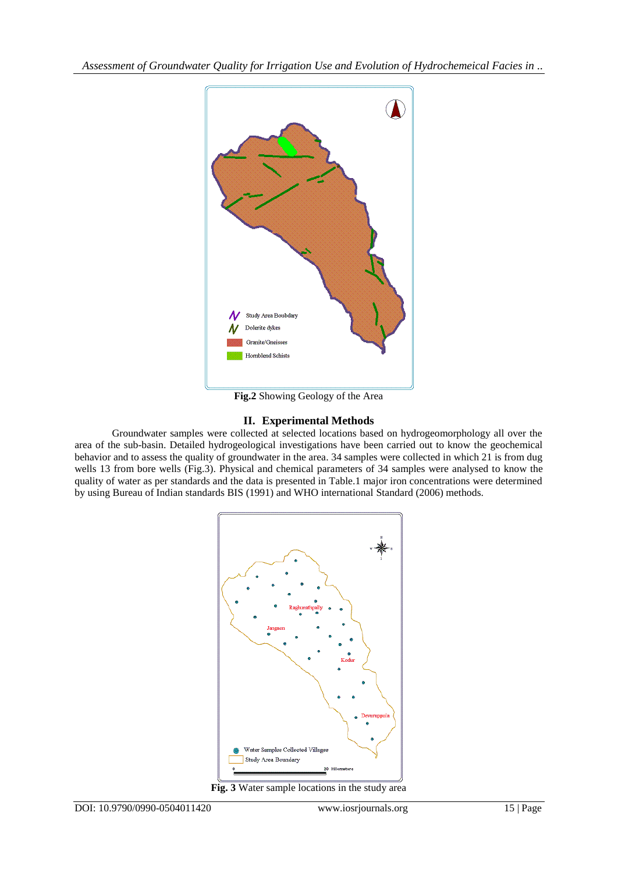

**Fig.2** Showing Geology of the Area

# **II. Experimental Methods**

Groundwater samples were collected at selected locations based on hydrogeomorphology all over the area of the sub-basin. Detailed hydrogeological investigations have been carried out to know the geochemical behavior and to assess the quality of groundwater in the area. 34 samples were collected in which 21 is from dug wells 13 from bore wells (Fig.3). Physical and chemical parameters of 34 samples were analysed to know the quality of water as per standards and the data is presented in Table.1 major iron concentrations were determined by using Bureau of Indian standards BIS (1991) and WHO international Standard (2006) methods.



**Fig. 3** Water sample locations in the study area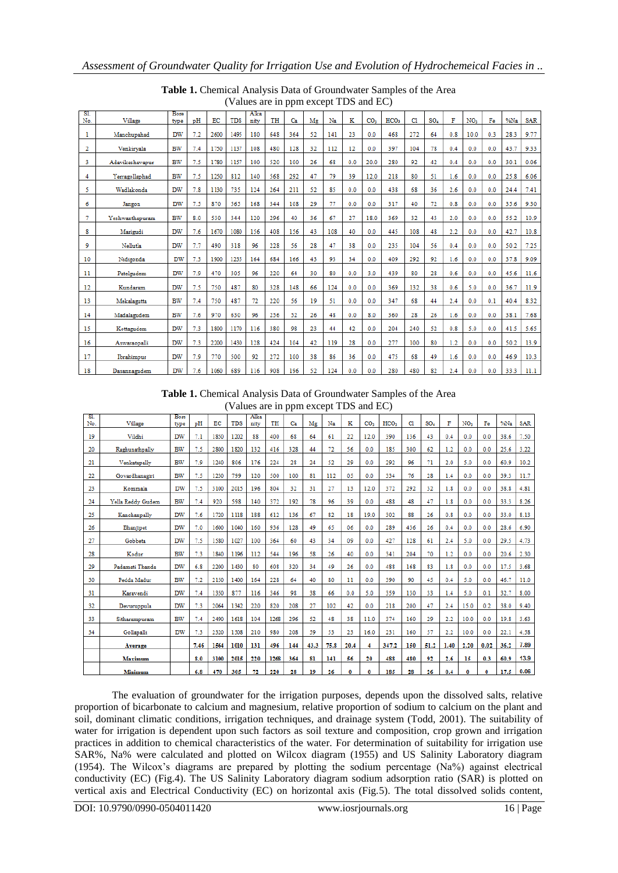|            |                 |              |     |      | $\cdots$   |              |     | $\frac{1}{2}$ and $\frac{1}{2}$ and $\frac{1}{2}$ and $\frac{1}{2}$ |    |     |     |                 |                  |     |                 |     |                 |     |         |            |
|------------|-----------------|--------------|-----|------|------------|--------------|-----|---------------------------------------------------------------------|----|-----|-----|-----------------|------------------|-----|-----------------|-----|-----------------|-----|---------|------------|
| SI.<br>No. | Village         | Bore<br>type | pH  | EC   | <b>TDS</b> | Alka<br>nity | TH  | Ca                                                                  | Mg | Na  | ĸ   | CO <sub>3</sub> | HCO <sub>3</sub> | CI  | SO <sub>4</sub> | F   | NO <sub>3</sub> | Fe  | $\%$ Na | <b>SAR</b> |
| 1          | Manchupahad     | DW           | 7.2 | 2600 | 1495       | 180          | 648 | 364                                                                 | 52 | 141 | 23  | 0.0             | 468              | 272 | 64              | 0.8 | 10.0            | 0.3 | 28.3    | 9.77       |
| 2          | Venkiryala      | <b>BW</b>    | 7.4 | 1750 | 1137       | 108          | 480 | 128                                                                 | 32 | 112 | 12  | 0.0             | 397              | 104 | 78              | 0.4 | 0.0             | 0.0 | 43.7    | 9.33       |
| 3          | Adavikeshavapur | <b>BW</b>    | 7.5 | 1780 | 1157       | 100          | 520 | 100                                                                 | 26 | 68  | 0.0 | 20.0            | 280              | 92  | 42              | 0.4 | 0.0             | 0.0 | 30.1    | 0.06       |
| 4          | Yerragollaphad  | BW           | 7.5 | 1250 | 812        | 140          | 568 | 292                                                                 | 47 | 79  | 39  | 12.0            | 218              | 80  | 51              | 1.6 | 0.0             | 0.0 | 25.8    | 6.06       |
| 5          | Wadlakonda      | DW           | 7.8 | 1130 | 735        | 124          | 264 | 211                                                                 | 52 | 85  | 0.0 | 0.0             | 438              | 68  | 36              | 2.6 | 0.0             | 0.0 | 24.4    | 7.41       |
| 6          | Jangon          | DW           | 7.5 | 870  | 565        | 168          | 344 | 108                                                                 | 29 | 77  | 0.0 | 0.0             | 317              | 40  | 72              | 0.8 | 0.0             | 0.0 | 35.6    | 9.30       |
| 7          | Yeshwanthapuram | <b>BW</b>    | 8.0 | 530  | 344        | 120          | 296 | 40                                                                  | 36 | 67  | 27  | 18.0            | 369              | 32  | 43              | 2.0 | 0.0             | 0.0 | 55.2    | 10.9       |
| 8          | Marigudi        | DW           | 7.6 | 1670 | 1080       | 156          | 408 | 156                                                                 | 43 | 108 | 40  | 0.0             | 445              | 108 | 48              | 2.2 | 0.0             | 0.0 | 42.7    | 10.8       |
| 9          | Nellutla        | <b>DW</b>    | 7.7 | 490  | 318        | 96           | 228 | 56                                                                  | 28 | 47  | 38  | 0.0             | 235              | 104 | 56              | 0.4 | 0.0             | 0.0 | 50.2    | 7.25       |
| 10         | Nidigonda       | DW           | 7.3 | 1900 | 1235       | 164          | 684 | 166                                                                 | 43 | 93  | 34  | 0.0             | 409              | 292 | 92              | 1.6 | 0.0             | 0.0 | 37.8    | 9.09       |
| -11        | Patelgudem      | <b>DW</b>    | 7.9 | 470  | 305        | 96           | 220 | 64                                                                  | 30 | 80  | 0.0 | 3.0             | 439              | 80  | 28              | 0.6 | 0.0             | 0.0 | 45.6    | 11.6       |
| 12         | Kundaram        | DW           | 7.5 | 750  | 487        | 80           | 328 | 148                                                                 | 66 | 124 | 0.0 | 0.0             | 369              | 132 | 38              | 0.6 | 5.0             | 0.0 | 36.7    | 11.9       |
| 13         | Mekalagutta     | <b>BW</b>    | 7.4 | 750  | 487        | 72           | 220 | 56                                                                  | 19 | 51  | 0.0 | 0.0             | 347              | 68  | 44              | 2.4 | 0.0             | 0.1 | 40.4    | 8.32       |
| 14         | Madalagudem     | <b>BW</b>    | 7.6 | 970  | 630        | 96           | 256 | 52                                                                  | 26 | 48  | 0.0 | 8.0             | 360              | 28  | 26              | 1.6 | 0.0             | 0.0 | 38.1    | 7.68       |
| 15         | Kottagudem      | <b>DW</b>    | 7.3 | 1800 | 1170       | 116          | 380 | 98                                                                  | 23 | 44  | 42  | 0.0             | 204              | 240 | 52              | 0.8 | 5.0             | 0.0 | 41.5    | 5.65       |
| 16         | Aswaraopalli    | DW           | 7.3 | 2200 | 1430       | 128          | 424 | 104                                                                 | 42 | 119 | 28  | 0.0             | 277              | 100 | 80              | 1.2 | 0.0             | 0.0 | 50.2    | 13.9       |
| 17         | Ibrahimpur      | DW           | 7.9 | 770  | 500        | 92           | 272 | 100                                                                 | 38 | 86  | 36  | 0.0             | 475              | 68  | 49              | 1.6 | 0.0             | 0.0 | 46.9    | 10.3       |
| 18         | Dasannagudem    | DW           | 7.6 | 1060 | 689        | 116          | 908 | 196                                                                 | 52 | 124 | 0.0 | 0.0             | 280              | 480 | 82              | 2.4 | 0.0             | 0.0 | 33.3    | 11.1       |

Table 1. Chemical Analysis Data of Groundwater Samples of the Area (Values are in ppm except TDS and EC)

Table 1. Chemical Analysis Data of Groundwater Samples of the Area (Values are in ppm except TDS and  $FC$ )

|            |                   |              |      |      | $($ , and $\omega$ and $\omega$ in point except 1 DD and $\omega$ |              |      |     |      |      |      |                 |                  |     |                 |      |                 |      |      |            |
|------------|-------------------|--------------|------|------|-------------------------------------------------------------------|--------------|------|-----|------|------|------|-----------------|------------------|-----|-----------------|------|-----------------|------|------|------------|
| 'SL<br>No. | Village           | Bore<br>type | pH   | EC   | <b>TDS</b>                                                        | Alka<br>nity | TH   | Ca  | Mg   | Na   | K    | CO <sub>3</sub> | HCO <sub>3</sub> | C1  | SO <sub>4</sub> | F    | NO <sub>3</sub> | Fe   | %Na  | <b>SAR</b> |
| 19         | Vildhi            | DW           | 7.1  | 1850 | 1202                                                              | 88           | 400  | 68  | 64   | 61   | 22   | 12.0            | 390              | 136 | 43              | 0.4  | 0.0             | 0.0  | 38.6 | 7.50       |
| 20         | Raghunathpally    | BW           | 7.5  | 2800 | 1820                                                              | 132          | 416  | 328 | 44   | 72   | 56   | 0.0             | 185              | 300 | 62              | 1.2  | 0.0             | 0.0  | 25.6 | 3.22       |
| 21         | Venkatapally      | BW           | 7.9  | 1240 | 806                                                               | 176          | 224  | 28  | 24   | 52   | 29   | 0.0             | 292              | 96  | 71              | 2.0  | 5.0             | 0.0  | 60.9 | 10.2       |
| 22         | Govardhanagiri    | <b>BW</b>    | 7.5  | 1230 | 799                                                               | 120          | 500  | 100 | 81   | 112  | 05   | 0.0             | 334              | 76  | 28              | 1.4  | 0.0             | 0.0  | 39.3 | 11.7       |
| 23         | Kommala           | DW           | 7.5  | 3100 | 2015                                                              | 196          | 804  | 32  | 31   | 27   | 13   | 12.0            | 372              | 292 | 32              | 1.8  | 0.0             | 0.0  | 38.8 | 4.81       |
| 24         | Yella Reddy Gudem | <b>BW</b>    | 7.4  | 920  | 598                                                               | 140          | 372  | 192 | 78   | 96   | 39   | 0.0             | 488              | 48  | 47              | 1.8  | 0.0             | 0.0  | 33.3 | 8.26       |
| 25         | Kanchanpally      | <b>DW</b>    | 7.6  | 1720 | 1118                                                              | 188          | 612  | 136 | 67   | 82   | 18   | 19.0            | 302              | 88  | 26              | 0.8  | 0.0             | 0.0  | 33.0 | 8.13       |
| 26         | Bhanjipet         | <b>DW</b>    | 7.0  | 1600 | 1040                                                              | 160          | 936  | 128 | 49   | 65   | 06   | 0.0             | 289              | 436 | 26              | 0.4  | 0.0             | 0.0  | 28.6 | 6.90       |
| 27         | Gobbeta           | <b>DW</b>    | 7.5  | 1580 | 1027                                                              | 100          | 364  | 60  | 43   | 34   | 09   | 0.0             | 427              | 128 | 61              | 2.4  | 5.0             | 0.0  | 29.5 | 4.73       |
| 28         | Kodur             | <b>BW</b>    | 7.3  | 1840 | 1196                                                              | 112          | 544  | 196 | 58   | 26   | 40   | 0.0             | 341              | 204 | 70              | 1.2  | 0.0             | 0.0  | 20.6 | 2.30       |
| 29         | Padamati Thanda   | <b>DW</b>    | 6.8  | 2200 | 1430                                                              | 80           | 608  | 320 | 34   | 49   | 26   | 0.0             | 488              | 168 | 83              | 1.8  | 0.0             | 0.0  | 17.5 | 3.68       |
| 30         | Pedda Madur       | <b>BW</b>    | 7.2  | 2150 | 1400                                                              | 164          | 228  | 64  | 40   | 80   | 11   | 0.0             | 390              | 90  | 45              | 0.4  | 5.0             | 0.0  | 46.7 | 11.0       |
| 31         | Karavendi         | <b>DW</b>    | 7.4  | 1350 | 877                                                               | 116          | 346  | 98  | 38   | 66   | 0.0  | 5.0             | 359              | 130 | 33              | 1.4  | 5.0             | 0.1  | 32.7 | 8.00       |
| 32         | Devuruppula       | <b>DW</b>    | 7.3  | 2064 | 1342                                                              | 220          | 820  | 208 | 27   | 102  | 42   | 0.0             | 218              | 200 | 47              | 2.4  | 15.0            | 0.2  | 38.0 | 9.40       |
| 33         | Sitharampuram     | <b>BW</b>    | 7.4  | 2490 | 1618                                                              | 104          | 1268 | 296 | 52   | 48   | 38   | 11.0            | 374              | 160 | 29              | 2.2  | 10.0            | 0.0  | 19.8 | 3.63       |
| 34         | Gollapalli        | DW           | 7.3  | 2320 | 1508                                                              | 210          | 980  | 208 | 59   | 53   | 23   | 16.0            | 231              | 160 | 57              | 2.2  | 10.0            | 0.0  | 22.1 | 4.58       |
|            | Average           |              | 7.46 | 1564 | 1010                                                              | 131          | 496  | 144 | 43.3 | 75.8 | 20.4 | 4               | 347.2            | 150 | 51.2            | 1.40 | 2.20            | 0.02 | 36.2 | 7.89       |
|            | Maximum           |              | 8.0  | 3100 | 2015                                                              | 220          | 1268 | 364 | 81   | 141  | 56   | 20              | 488              | 480 | 92              | 2.6  | 15              | 0.3  | 60.9 | 13.9       |
|            | Minimum           |              | 6.8  | 470  | 305                                                               | 72           | 220  | 28  | 19   | 26   | 0    | 0               | 185              | 28  | 26              | 0.4  | 0               | 0    | 17.5 | 0.06       |

The evaluation of groundwater for the irrigation purposes, depends upon the dissolved salts, relative proportion of bicarbonate to calcium and magnesium, relative proportion of sodium to calcium on the plant and soil, dominant climatic conditions, irrigation techniques, and drainage system (Todd, 2001). The suitability of water for irrigation is dependent upon such factors as soil texture and composition, crop grown and irrigation practices in addition to chemical characteristics of the water. For determination of suitability for irrigation use SAR%, Na% were calculated and plotted on Wilcox diagram (1955) and US Salinity Laboratory diagram (1954). The Wilcox's diagrams are prepared by plotting the sodium percentage (Na%) against electrical conductivity (EC) (Fig.4). The US Salinity Laboratory diagram sodium adsorption ratio (SAR) is plotted on vertical axis and Electrical Conductivity (EC) on horizontal axis (Fig.5). The total dissolved solids content,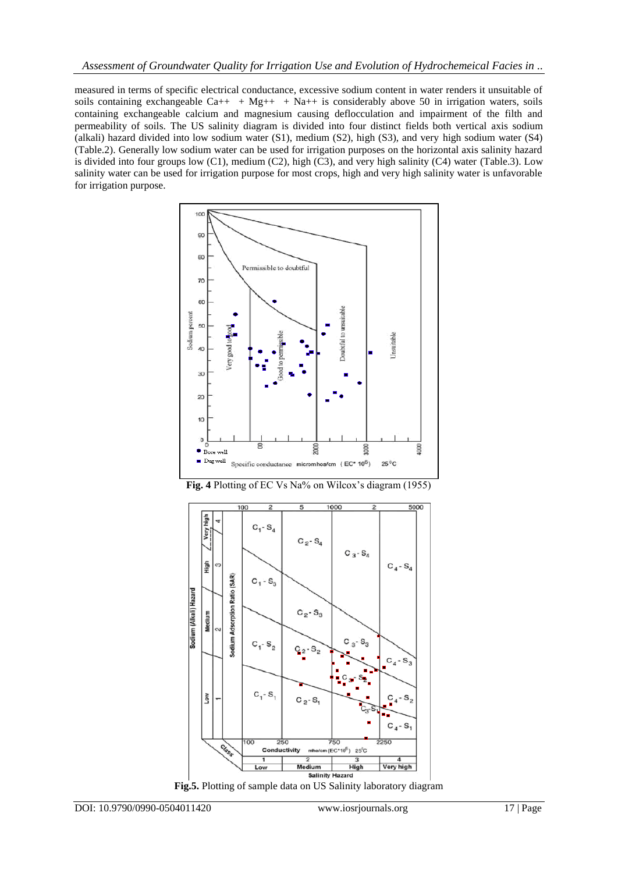measured in terms of specific electrical conductance, excessive sodium content in water renders it unsuitable of soils containing exchangeable Ca++ + Mg++ + Na++ is considerably above 50 in irrigation waters, soils containing exchangeable calcium and magnesium causing deflocculation and impairment of the filth and permeability of soils. The US salinity diagram is divided into four distinct fields both vertical axis sodium (alkali) hazard divided into low sodium water (S1), medium (S2), high (S3), and very high sodium water (S4) (Table.2). Generally low sodium water can be used for irrigation purposes on the horizontal axis salinity hazard is divided into four groups low  $(C1)$ , medium  $(C2)$ , high  $(\overline{C3})$ , and very high salinity  $(C4)$  water (Table.3). Low salinity water can be used for irrigation purpose for most crops, high and very high salinity water is unfavorable for irrigation purpose.







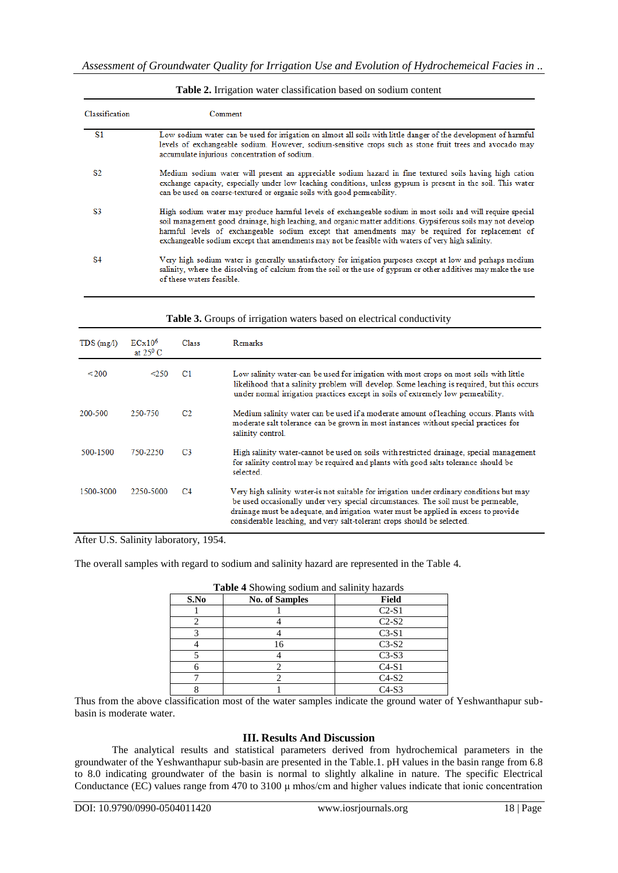| Classification | Comment                                                                                                                                                                                                                                                                                                                                                                                                                             |
|----------------|-------------------------------------------------------------------------------------------------------------------------------------------------------------------------------------------------------------------------------------------------------------------------------------------------------------------------------------------------------------------------------------------------------------------------------------|
| S1             | Low sodium water can be used for irrigation on almost all soils with little danger of the development of harmful<br>levels of exchangeable sodium. However, sodium-sensitive crops such as stone fruit trees and avocado may<br>accumulate injurious concentration of sodium.                                                                                                                                                       |
| S2.            | Medium sodium water will present an appreciable sodium hazard in fine textured soils having high cation<br>exchange capacity, especially under low leaching conditions, unless gypsum is present in the soil. This water<br>can be used on coarse-textured or organic soils with good permeability.                                                                                                                                 |
| S3             | High sodium water may produce harmful levels of exchangeable sodium in most soils and will require special<br>soil management good drainage, high leaching, and organic matter additions. Gypsiferous soils may not develop<br>harmful levels of exchangeable sodium except that amendments may be required for replacement of<br>exchangeable sodium except that amendments may not be feasible with waters of very high salinity. |
| <b>S4</b>      | Very high sodium water is generally unsatisfactory for irrigation purposes except at low and perhaps medium<br>salinity, where the dissolving of calcium from the soil or the use of gypsum or other additives may make the use<br>of these waters feasible.                                                                                                                                                                        |

#### **Table 2.** Irrigation water classification based on sodium content

| TDS(mg/l) | $ECx10^6$<br>at $25^{\circ}$ C | <b>Class</b>   | <b>Remarks</b>                                                                                                                                                                                                                                                                                                                                     |
|-----------|--------------------------------|----------------|----------------------------------------------------------------------------------------------------------------------------------------------------------------------------------------------------------------------------------------------------------------------------------------------------------------------------------------------------|
| < 200     | < 250                          | C1             | Low salinity water-can be used for irrigation with most crops on most soils with little<br>likelihood that a salinity problem will develop. Some leaching is required, but this occurs<br>under normal irrigation practices except in soils of extremely low permeability.                                                                         |
| 200-500   | 250-750                        | C <sub>2</sub> | Medium salinity water can be used if a moderate amount of leaching occurs. Plants with<br>moderate salt tolerance can be grown in most instances without special practices for<br>salinity control.                                                                                                                                                |
| 500-1500  | 750-2250                       | C <sub>3</sub> | High salinity water-cannot be used on soils with restricted drainage, special management<br>for salinity control may be required and plants with good salts tolerance should be<br>selected.                                                                                                                                                       |
| 1500-3000 | 2250-5000                      | C <sub>4</sub> | Very high salinity water-is not suitable for irrigation under ordinary conditions but may<br>be used occasionally under very special circumstances. The soil must be permeable,<br>drainage must be adequate, and irrigation water must be applied in excess to provide<br>considerable leaching, and very salt-tolerant crops should be selected. |

#### Table 3. Groups of irrigation waters based on electrical conductivity

After U.S. Salinity laboratory, 1954.

The overall samples with regard to sodium and salinity hazard are represented in the Table 4.

| S.No | <b>No. of Samples</b> | <b>Field</b> |
|------|-----------------------|--------------|
|      |                       | $C2-S1$      |
|      |                       | $C2-S2$      |
|      |                       | $C3-S1$      |
|      | 16                    | $C3-S2$      |
|      |                       | $C3-S3$      |
|      |                       | $C4-S1$      |
|      |                       | $C4-S2$      |
|      |                       | $C4-S3$      |

**Table 4** Showing sodium and salinity hazards

Thus from the above classification most of the water samples indicate the ground water of Yeshwanthapur subbasin is moderate water.

## **III. Results And Discussion**

The analytical results and statistical parameters derived from hydrochemical parameters in the groundwater of the Yeshwanthapur sub-basin are presented in the Table.1. pH values in the basin range from 6.8 to 8.0 indicating groundwater of the basin is normal to slightly alkaline in nature. The specific Electrical Conductance (EC) values range from 470 to 3100  $\mu$  mhos/cm and higher values indicate that ionic concentration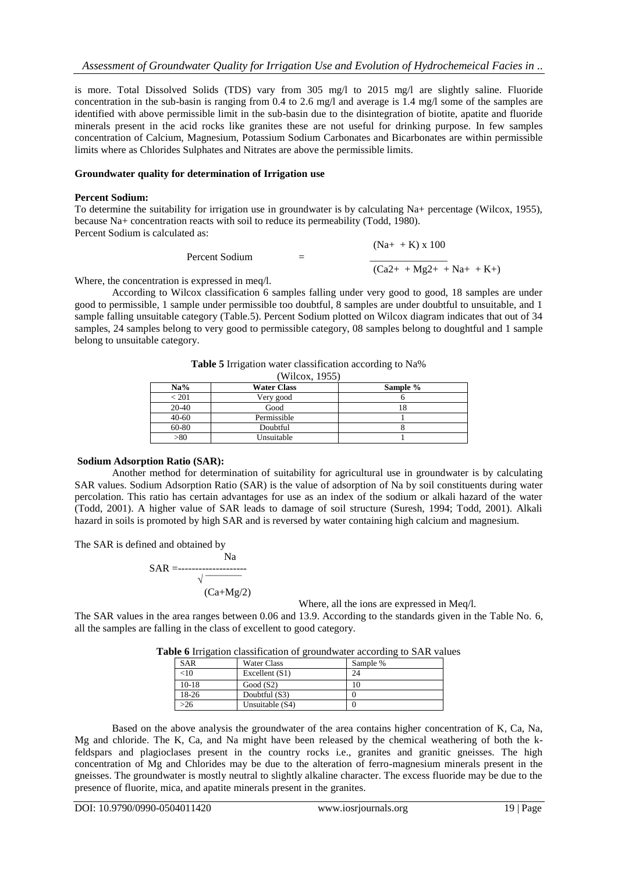is more. Total Dissolved Solids (TDS) vary from 305 mg/l to 2015 mg/l are slightly saline. Fluoride concentration in the sub-basin is ranging from 0.4 to 2.6 mg/l and average is 1.4 mg/l some of the samples are identified with above permissible limit in the sub-basin due to the disintegration of biotite, apatite and fluoride minerals present in the acid rocks like granites these are not useful for drinking purpose. In few samples concentration of Calcium, Magnesium, Potassium Sodium Carbonates and Bicarbonates are within permissible limits where as Chlorides Sulphates and Nitrates are above the permissible limits.

#### **Groundwater quality for determination of Irrigation use**

#### **Percent Sodium:**

To determine the suitability for irrigation use in groundwater is by calculating Na+ percentage (Wilcox, 1955), because Na+ concentration reacts with soil to reduce its permeability (Todd, 1980). Percent Sodium is calculated as:

> $(Na+ K)$  x 100 Percent Sodium  $=$  $\frac{1}{(\text{Ca2++Mg2++Na++K+)}}$

Where, the concentration is expressed in meq/l.

According to Wilcox classification 6 samples falling under very good to good, 18 samples are under good to permissible, 1 sample under permissible too doubtful, 8 samples are under doubtful to unsuitable, and 1 sample falling unsuitable category (Table.5). Percent Sodium plotted on Wilcox diagram indicates that out of 34 samples, 24 samples belong to very good to permissible category, 08 samples belong to doughtful and 1 sample belong to unsuitable category.

**Table 5** Irrigation water classification according to Na% (Wilcox, 1955)

| Na%                         | <b>Water Class</b> | Sample % |
|-----------------------------|--------------------|----------|
| $\stackrel{<}{_{\sim}} 201$ | Very good          |          |
| 20-40                       | Good               |          |
| $40 - 60$                   | Permissible        |          |
| 60-80                       | Doubtful           |          |
| > 80                        | Unsuitable         |          |

#### **Sodium Adsorption Ratio (SAR):**

Another method for determination of suitability for agricultural use in groundwater is by calculating SAR values. Sodium Adsorption Ratio (SAR) is the value of adsorption of Na by soil constituents during water percolation. This ratio has certain advantages for use as an index of the sodium or alkali hazard of the water (Todd, 2001). A higher value of SAR leads to damage of soil structure (Suresh, 1994; Todd, 2001). Alkali hazard in soils is promoted by high SAR and is reversed by water containing high calcium and magnesium.

The SAR is defined and obtained by

Na SAR =--------------------  $\sqrt{\frac{1}{\sqrt{1-\frac{1}{2}}}}$  $(Ca+Mg/2)$ 

Where, all the ions are expressed in Meq/l.

The SAR values in the area ranges between 0.06 and 13.9. According to the standards given in the Table No. 6, all the samples are falling in the class of excellent to good category.

|     |                                       | Table 6 Irrigation classification of groundwater according to SAR values |  |
|-----|---------------------------------------|--------------------------------------------------------------------------|--|
| CAD | $W_{\alpha\alpha}$ $C_{\alpha\alpha}$ | S <sub>omn</sub> 1 <sub>0</sub>                                          |  |

| <b>SAR</b> | Water Class      | Sample % |
|------------|------------------|----------|
| <10        | Excellent $(S1)$ | 24       |
| $10-18$    | Good $(S2)$      |          |
| 18-26      | Doubtful (S3)    |          |
| $-26$      | Unsuitable (S4)  |          |

Based on the above analysis the groundwater of the area contains higher concentration of K, Ca, Na, Mg and chloride. The K, Ca, and Na might have been released by the chemical weathering of both the kfeldspars and plagioclases present in the country rocks i.e., granites and granitic gneisses. The high concentration of Mg and Chlorides may be due to the alteration of ferro-magnesium minerals present in the gneisses. The groundwater is mostly neutral to slightly alkaline character. The excess fluoride may be due to the presence of fluorite, mica, and apatite minerals present in the granites.